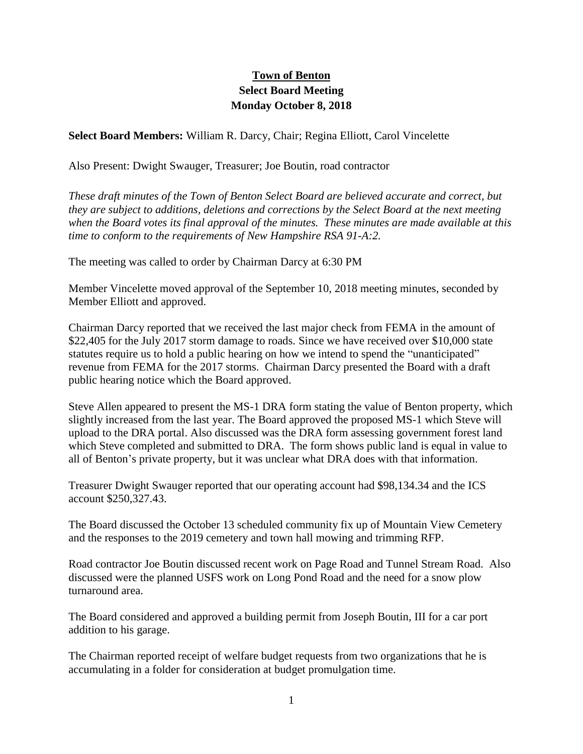## **Town of Benton Select Board Meeting Monday October 8, 2018**

**Select Board Members:** William R. Darcy, Chair; Regina Elliott, Carol Vincelette

Also Present: Dwight Swauger, Treasurer; Joe Boutin, road contractor

*These draft minutes of the Town of Benton Select Board are believed accurate and correct, but they are subject to additions, deletions and corrections by the Select Board at the next meeting when the Board votes its final approval of the minutes. These minutes are made available at this time to conform to the requirements of New Hampshire RSA 91-A:2.*

The meeting was called to order by Chairman Darcy at 6:30 PM

Member Vincelette moved approval of the September 10, 2018 meeting minutes, seconded by Member Elliott and approved.

Chairman Darcy reported that we received the last major check from FEMA in the amount of \$22,405 for the July 2017 storm damage to roads. Since we have received over \$10,000 state statutes require us to hold a public hearing on how we intend to spend the "unanticipated" revenue from FEMA for the 2017 storms. Chairman Darcy presented the Board with a draft public hearing notice which the Board approved.

Steve Allen appeared to present the MS-1 DRA form stating the value of Benton property, which slightly increased from the last year. The Board approved the proposed MS-1 which Steve will upload to the DRA portal. Also discussed was the DRA form assessing government forest land which Steve completed and submitted to DRA. The form shows public land is equal in value to all of Benton's private property, but it was unclear what DRA does with that information.

Treasurer Dwight Swauger reported that our operating account had \$98,134.34 and the ICS account \$250,327.43.

The Board discussed the October 13 scheduled community fix up of Mountain View Cemetery and the responses to the 2019 cemetery and town hall mowing and trimming RFP.

Road contractor Joe Boutin discussed recent work on Page Road and Tunnel Stream Road. Also discussed were the planned USFS work on Long Pond Road and the need for a snow plow turnaround area.

The Board considered and approved a building permit from Joseph Boutin, III for a car port addition to his garage.

The Chairman reported receipt of welfare budget requests from two organizations that he is accumulating in a folder for consideration at budget promulgation time.